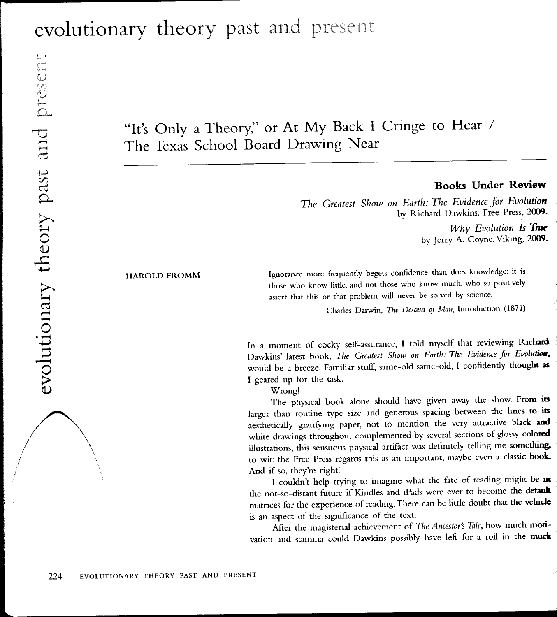## evolutionary theory past and present

## "It's Only a Theory," or At My Back I Cringe to Hear / The Texas School Board Drawing Near

## Books Under Review

The Greatest Show on Earth: The Evidence for Evolution by Richard Dawkins. Free Press, 2009-

> Why Evolution Is True by Jerry A. Coyne. Viking, 2009.

## HAROLD FROMM

Ignorance more frequently begets confidence than does knowledge: it is those who know little, and not those who know much, who so positively assert that this or that problem will never be solved by science.

—Charles Darwin, *The Descent of Man*, Introduction (1871)

In a moment of cocky self-assurance, I told myself that reviewing Richard Dawkins' latest book, The Greatest Show on Earth: The Evidence for Evolution, would be a breeze. Familiar stuff, same-old same-old, I confidently thought as I geared up for the task.

'Wrong!

The physical book alone should have given away the show. From its larger than routine type size and generous spacing between the lines to its aesthetically gratifying paper, not to mention the very attractive black and white drawings throughout complemented by several sections of glossy colored illustrations, this sensuous physical artifact was definitely telling me something, to wit: the Free Press regards this as an important, maybe even a classic book. And if so, they're right!

I couldn't help trying to imagine what the fate of reading might be in the not-so-distant future if Kindles and iPads were ever to become the default matrices for the experience of reading. There can be little doubt that the vehicle is an aspect of the significance of the text.

After the magisterial achievement of The Ancestor's Tale, how much motivation and stamina could Dawkins possibly have left for a roll in the muck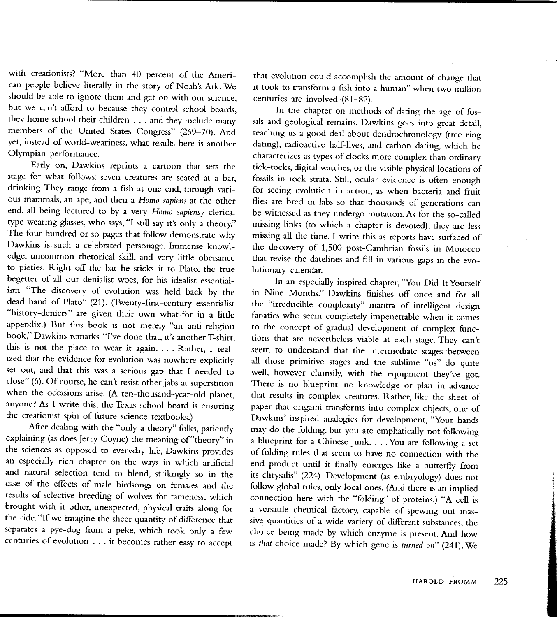with creationists? "More than 40 percent of the Ameri\_ can people believe literally in the story of Noah's Ark. We should be able to ignore them and get on with our science, but we can't afford to because they control school boards, they home school their children . . . and they include many members of the United Stares Congress" (269-70). And yet, instead of world-weariness, what results here is another Olympian performance.

Early on, Dawkins reprints a carroon that sets the stage for what follows: seven creatures are seated at a bar, drinking. They range from a fish at one end, through various mammals, an ape, and then a Homo sapiens at the other end, all being lectured to by a very Homo sapiensy clerical type wearing glasses, who says, "I still say it's only a theory." The four hundred or so pages that follow demonstrate why Dawkins is such a celebrated personage. Immense knowledge, uncomrnon rhetorical skill, and very little obeisance to pieties. Right off the bat he sticks it to plato, the rrue begetter of all our denialist woes, for his idealist essentialism. "The discovery of evolution was held back by the dead hand of Plato" (21). (Twenry-firsr-century essenrialist "history-deniers" are given their own what-for in a little appendix.) But this book is not merely "an anti-religion book," Dawkins remarks. "l've done that, it's another T-shirr, this is not the place to wear it again. . . . Rather, I realized that the evidence for evolution was nowhere explicitly set out, and that this was a serious gap that I needed to close" (6). Of course, he can't resist other jabs at superstition when the occasions arise. (A ten-thousand-year-old planet, anyone? As I write this, the Texas school board is ensuring the creationist spin of future science textbooks.)

After dealing with the "only a theory" folks, patiently explaining (as does Jerry Coyne) the meaning of "theory" in the sciences as opposed to everyday life, Dawkins provides an especially rich chapter on rhe ways in which artificial and natural selection tend to blend, strikingly so in the case of the effects of male birdsongs on females and the results of selective breeding of wolves for tameness, which brought with it other, unexpected, physical traits along for the ride. "If we imagine the sheer quantity of difference that separates a pye-dog from a peke, which took only a few centuries of evolution . . . it becomes rather easy to accept

that evolution could accomplish the amounr of change that it took to transform a fish into a human" when rwo million centuries are involved (81-82).

In the chapter on methods of dating the age of fossils and geological remains, Dawkins goes into great detail, teaching us a good deal about dendrochronology (tree ring dating), radioactive half-lives, and carbon dating, which he characterizes as types of clocks more complex than ordinary tick-tocks, digital watches, or rhe visible physical locations of fossils in rock strara. Still, ocular evidence is often enough for seeing evolution in action, as when bacteria and fruit flies are bred in labs so that thousands of generations can be witnessed as they undergo muration. As for the so-called missing links (to which a chapter is devoted), they are less missing all the time. I write this as reports have surfaced of the discovery of 1,500 post-Cambrian fossils in Morocco that revise the datelines and fill in various gaps in the evolutionary calendar.

In an especially inspired chaprer, "you Did It yourself in Nine Months," Dawkins finishes off once and for all the "irreducible complexity" mantra of intelligent design fanatics who seem completely impenetrable when it comes to the concept of gradual development of complex functions that are nevertheless viable at each stage. They can't seem to understand that the intermediate stages between all those primitive stages and the sublime "us" do quite well, however clumsily, with the equipment they've got. There is no blueprint, no knowledge or plan in advance that results in complex creatures. Rather, like the sheet of paper that origami transforms into complex objects, one of Dawkins' inspired analogies for development, "Your hands may do the folding, but you are emphatically not following a blueprint for a Chinese junk. . . . You are following a set of folding rules that seem to have no connection with the end product unril ir finally emerges like a butterfly from its chrysalis" (224). Development (as embryology) does not follow global rules, only local ones. (And there is an implied connection here with the "folding" of proteins.) "A cell is a versatile chemical factory, capable of spewing our massive quantities of a wide variery of different substances, the choice being made by which enzyme is presenr. And how is that choice made? By which gene is turned on"  $(241)$ . We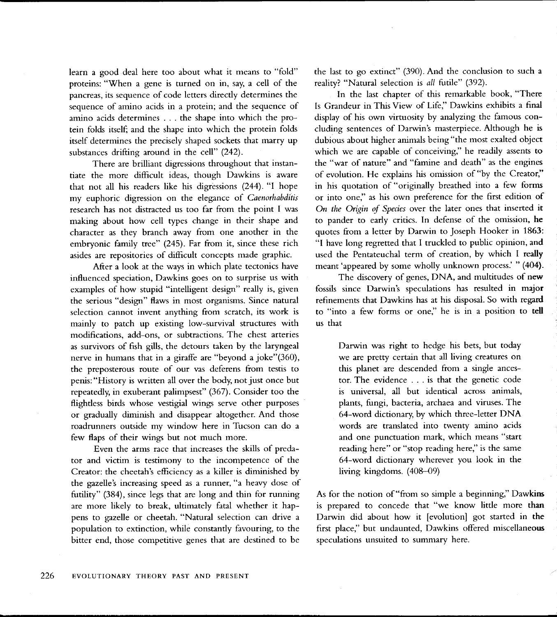learn a good deal here too about what it means to "fold" proteins: "When a gene is turned on in, say, a cell of the pancreas, its sequence of code letters directly determines the sequence of amino acids in a protein; and the sequence of amino acids determines . . . the shape into which the protein folds itself; and the shape into which the protein folds itself determines the precisely shaped sockets that marry up substances drifting around in the cell" (242).

There are brilliant digressions throughout that instantiate the more difficult ideas, though Dawkins is aware that not all his readers like his digressions (244). "l hope my euphoric digression on the elegance of Caenorhabditis research has not distracted us too far from the point I was making about how cell types change in their shape and character as they branch away from one another in the embryonic family tree" (245). Far from it, since these rich asides are repositories of dificult concepts made graphic.

After a look at the ways in which plate tectonics have influenced speciation, Dawkins goes on to surprise us with examples of how stupid "intelligent design" really is, given the serious "design" flaws in most organisms. Since natural selection cannot invent anything from scratch, its work is mainly to patch up existing low-survival structures with modifications, add-ons, or subtractions. The chest arteries as survivors of fish gills, the detours taken by the laryngeal nerve in humans that in a giraffe are "beyond a joke"(360), the preposterous route of our vas deferens from testis to penis:"History is written all over the body, not just once but repeatedly, in exuberant palimpsest" (367). Consider too the flightless birds whose vestigial wings serve other purposes or gradually diminish and disappear altogether. And those roadrunners outside my window here in Tucson can do <sup>a</sup> few flaps of their wings but not much more.

Even the arms race that increases the skills of predator and victim is testimony to the incompetence of the Creator: the cheetah's efficiency as a killer is diminished by the gazelle's increasing speed as a runner, "a heavy dose of futiliry" (384), since legs that are long and thin for running are more likely to break, ultimately fatal whether it happens to gazelle or cheetah. "Natural selection can drive <sup>a</sup> population to extinction, while constantly favouring, to the bitter end, those competitive genes that are destined to be

the last to go extinct" (390). And the conclusion to such <sup>a</sup> reality? "Natural selection is all futile" (392).

In the last chapter of this remarkable book, "There Is Grandeur in This View of Life," Dawkins exhibits a final display of his own virtuosiry by analyzing the famous concluding sentences of Darwin's masterpiece. Although he is dubious about higher animals being "the most exalted object which we are capable of conceiving," he readily assents to the "war of nature" and "famine and death" as the engines of evolution. He explains his omission of"by the Creator," in his quotation of "originally breathed into a few forms or into one," as his own preference for the first edition of On the Origin of Species over the later ones that inserted it to pander to early critics. In defense of the omission, he quotes from a letter by Darwin to Joseph Hooker in 1863: "I have long regretted that I truckled to public opinion, and used the Pentateuchal term of creation, by which t really meant 'appeared by some wholly unknown process.' " (404).

The discovery of genes, DNA, and multitudes of new fossils since Darwin's speculations has resulted in major refinements that Dawkins has at his disposal. So with regard to "into a few forms or one," he is in a position to tell us that

Darwin was right to hedge his bets, but today we are pretty certain that all living creatures on this planet are descended from a single ancestor. The evidence . . . is that the genetic code is universal, all but identical across animals, plants, fungi, bacteria, archaea and viruses. The 64-word dictionary by which three-letter DNA words are translated into twenty amino acids and one punctuation mark, which means "start reading here" or "stop reading here," is the same 64-word dictionary wherever you look in the living kingdoms. (408-09)

As for the notion of "from so simple a beginning," Dawkim is prepared to concede that "we know little more than Darwin did about how it [evolution] got started in the first place," but undaunted, Dawkins offered miscellaneous speculations unsuited to summary here.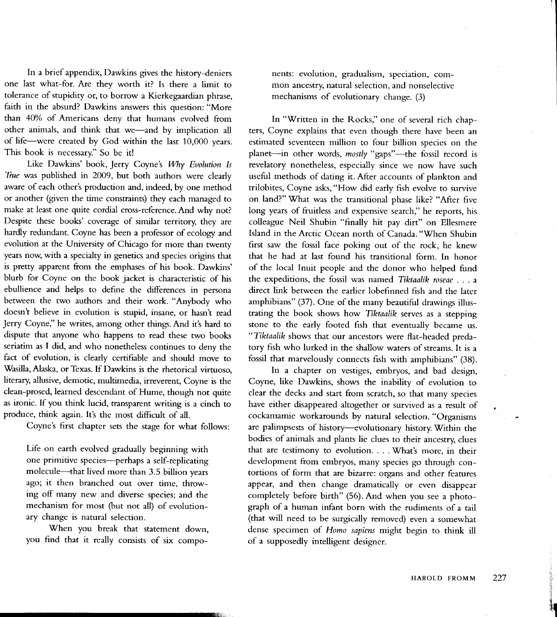In a brief appendix, Dawkins gives the history-deniers one last what-for. Are they worrh it? Is rhere a limit to tolerance of stupidity or, to borrow a Kierkegaardian phrase, faith in the absurd? Dawkins answers this quesrion: "More than 40% of Americans deny that humans evolved from other animals, and think that we-and by implication all of life-were created by God within the last 10,000 years. This book is necessary." So be it!

Like Dawkins' book, Jerry Coyne's Why Evolution Is True was published in 2009, but both authors were clearly aware of each other's production and, indeed, by one method or another (given the time constraints) they each managed to make at least one quite cordial cross-reference. And why not? Despite these books' coverage of similar territory they are hardly redundant. Coyne has been a professor of ecology and evolution at the University of Chicago for more than twenty years now, with a specialty in genetics and species origins that is pretty apparent from the emphases of his book. Dawkins' blurb for Coyne on the book jacket is characteristic of his ebullience and helps to define the differences in persona between the rwo authors and their work. "Anybody who doesn't believe in evolution is stupid, insane, or hasn't read Jerry Coyne," he writes, among other things. And it's hard to dispute that anyone who happens to read these two books seriatim as I did, and who nonetheless continues to deny the fact of evolution, is clearly certifiable and should move to Wasilla, Alaska, or Texas. If Dawkins is the rhetorical virtuoso, literary, allusive, demotic, multimedia, irreverent, Coyne is the clean-prosed, learned descendant of Hume, though not quite as ironic. If you think lucid, rransparent writing is a cinch to produce, think again. It's the most difficult of all.

Coyne's first chapter sets the stage for what follows:

Life on earth evolved gradually beginning with one primitive species--perhaps a self-replicating molecule-that lived more than 3.5 billion years ago; it then branched out over time, throwing off many new and diverse species; and the mechanism for most (but not all) of evolutionary change is natural selection.

When you break that statement down, you find that it really consists of six components: evolution, gradualism, speciation, common ancestry, natural selection, and nonselective mechanisms of evolutionary change. (3)

In "Written in the Rocks," one of several rich chapters, Coyne explains that even though there have been an estimated seventeen million to four billion species on the planet-in other words, mostly "gaps"-the fossil record is revelatory nonetheless, especially since we now have such useful methods of dating it. After accounts of plankton and trilobites, Coyne asks, "How did early fish evolve ro survive on land?" What was the transitional phase like? "After five long years of fruitless and expensive search," he reports, his colleague Neil Shubin "finally hit pay dirt" on Ellesmere Island in the Arctic Ocean north of Canada. "When Shubin first saw the fossil face poking out of the rock, he knew that he had at last found his transitional form. In honor of the local Inuit people and the donor who helped fund the expeditions, the fossil was named Tiktaalik roseae  $\ldots$  a direct link berween the earlier lobefinned fish and the later amphibians" (37). One of the many beautiful drawings illustrating the book shows how Tiktaalik serves as a srepping stone to the early footed fish that eventually became us. "Tiktaalik shows that our ancestors were flat-headed predatory fish who lurked in the shallow waters of streams. It is <sup>a</sup> fossil that marvelously connects fish with amphibians" (38).

In a chapter on vestiges, embryos, and bad design, Coyne, like Dawkins, shows the inabiliry of evolution to clear the decks and start from scratch, so that many species have either disappeared altogether or survived as a result of cockamamie workarounds by natural selection. "Organisms are palimpsests of history-evolutionary hisrory. Within the bodies of animals and plants lie clues to their ancestry, clues that are testimony to evolution. . . . What's more, in their development from embryos, many species go through contortions of form that are bizarre: organs and other features appear, and then change dramatically or even disappear completely before birth" (56). And when you see a photograph of a human infant born with the rudimenrs of a tail (that will need to be surgically removed) even a somewhar dense specimen of Homo sapiens might begin to think ill of a supposedly intelligent designer.

l' r rl I 'I \$l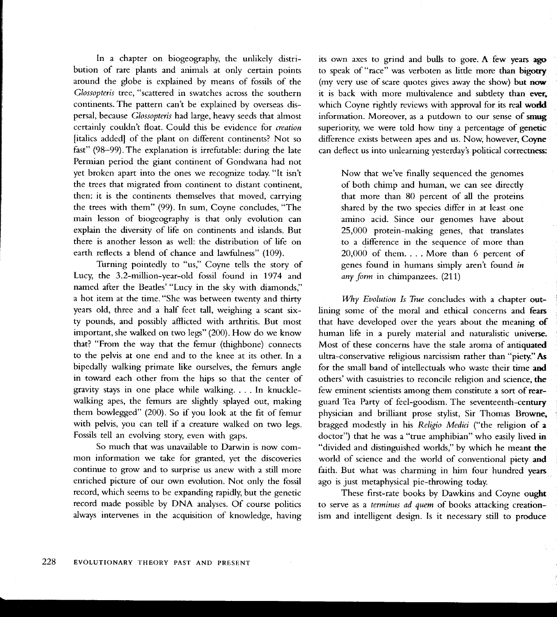ln a chapter on biogeography, the unlikely distribution of rare plants and animals at only certain points around the globe is explained by means of fossils of the Clossopteris tree, "scattered in swatches across the southern continents. The pattern can't be explained by overseas dispersal, because Clossopteris had large, heavy seeds that almost certainly couldn't float. Could this be evidence for creation [italics added] of the plant on different continents? Not so fast" (98-99).The explanation is irrefutable: during the late Permian period the giant continent of Gondwana had not yet broken apart into the ones we recognize today. "It isn't the trees that migrated from continent to distant continent, then: it is the continents themselves that moved, carrying the trees with them" (99). In sum, Coyne concludes, "The main lesson of biogeography is that only evolution can explain the diversity of life on continents and islands. But there is another lesson as well: the distribution of life on earth reflects a blend of chance and lawfulness" (109).

Tirrning pointedly to "us," Coyne tells the story of Lucy, the 3.2-million-year-old fossil found in 1974 and named after the Beatles'"Lucy in the sky with diamonds," a hot item at the time. "She was between twenty and thirty years old, three and a half feet tall, weighing a scant sixry pounds, and possibly aflicted with arthritis. But most important, she walked on two legs" (200). How do we know that? "From the way that the Gmur (thighbone) connects to the pelvis at one end and to the knee at its other. [n <sup>a</sup> bipedally walking primate like ourselves, the femurs angle in toward each other from the hips so that the center of gravity stays in one place while walking. . . . In knucklewalking apes, the femurs are slightly splayed out, making them bowlegged"  $(200)$ . So if you look at the fit of femur with pelvis, you can tell if a creature walked on two legs. Fossils tell an evolving story, even with gaps.

So much that was unavailable to Darwin is now common information we take for granted, yet the discoveries continue to grow and to surprise us anew with a still more enriched picture of our own evolution. Not only the fossil record, which seems to be expanding rapidly, but the genetic record made possible by DNA analyses. Of course politics always intervenes in the acquisition of knowledge, having its own axes to grind and bulls to gore. A few years ago to speak of "race" was verboten as little more than bigotry (my very use of scare quotes gives away the show) but now it is back with more multivalence and subtlety than ever. which Coyne rightly reviews with approval for its real world information. Moreover, as a putdown to our sense of smug superiority, we were told how tiny a percentage of genetic difference exists between apes and us. Now, however, Coyne can deflect us into unlearning yesterday's political correctness:

Now that we've finally sequenced the genomes of both chimp and human, we can see directly that more than 80 percent of all the proteins shared by the two species differ in at least one amino acid. Since our genomes have about  $25,000$  protein-making genes, that translates to a difference in the sequence of more than 20,000 of them. . . . More than 6 percent of genes found in humans simply aren't found in any form in chimpanzees. (211)

Why Evolution Is True concludes with a chapter outlining some of the moral and ethical concerns and fears that have developed over the years about the meaning of human life in a purely material and naturalistic universe. Most of these concerns have the stale aroma of antiquated ultra-conservative religious narcissism rather than "piety." As for the small band of intellectuals who waste their time and others'with casuistries to reconcile religion and science, the few eminent scientists among them constitute a sort of rearguard Tea Party of feel-goodism. The seventeenth-century physician and brilliant prose stylist, Sir Thomas Browne, bragged modestly in his Religio Medici ("the religion of a doctor") that he was a "true amphibian" who easily lived in "divided and distinguished worlds," by which he meant the world of science and the world of conventional piety and faith. But what was charming in him four hundred years ago is just metaphysical pie-throwing today.

These first-rate books by Dawkins and Coyne ought to serve as a terminus ad quem of books attacking creationism and intelligent design. Is it necessary still to produce